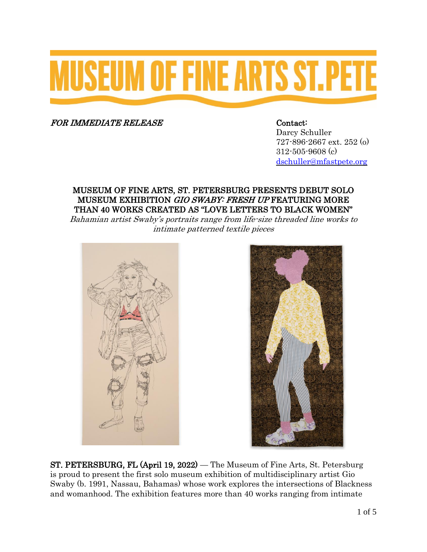# **MUSEUM OF FINE ARTS ST.PETE**

FOR IMMEDIATE RELEASE Contact:

Darcy Schuller 727-896-2667 ext. 252 (o) 312-505-9608 (c) [dschuller@mfastpete.org](mailto:jschubick@mfastpete.org)

#### MUSEUM OF FINE ARTS, ST. PETERSBURG PRESENTS DEBUT SOLO MUSEUM EXHIBITION GIO SWABY: FRESH UP FEATURING MORE THAN 40 WORKS CREATED AS "LOVE LETTERS TO BLACK WOMEN"

Bahamian artist Swaby's portraits range from life-size threaded line works to intimate patterned textile pieces





ST. PETERSBURG, FL (April 19, 2022) — The Museum of Fine Arts, St. Petersburg is proud to present the first solo museum exhibition of multidisciplinary artist Gio Swaby (b. 1991, Nassau, Bahamas) whose work explores the intersections of Blackness and womanhood. The exhibition features more than 40 works ranging from intimate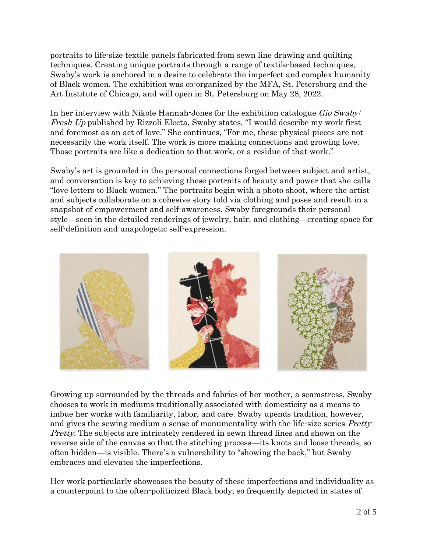portraits to life-size textile panels fabricated from sewn line drawing and quilting techniques. Creating unique portraits through a range of textile-based techniques, Swaby's work is anchored in a desire to celebrate the imperfect and complex humanity of Black women. The exhibition was co-organized by the MFA, St. Petersburg and the Art Institute of Chicago, and will open in St. Petersburg on May 28, 2022.

In her interview with Nikole Hannah-Jones for the exhibition catalogue *Gio Swaby* Fresh Up published by Rizzoli Electa, Swaby states, "I would describe my work first and foremost as an act of love." She continues, "For me, these physical pieces are not necessarily the work itself. The work is more making connections and growing love. Those portraits are like a dedication to that work, or a residue of that work."

Swaby's art is grounded in the personal connections forged between subject and artist, and conversation is key to achieving these portraits of beauty and power that she calls "love letters to Black women." The portraits begin with a photo shoot, where the artist and subjects collaborate on a cohesive story told via clothing and poses and result in a snapshot of empowerment and self-awareness. Swaby foregrounds their personal style—seen in the detailed renderings of jewelry, hair, and clothing—creating space for self-definition and unapologetic self-expression.



Growing up surrounded by the threads and fabrics of her mother, a seamstress, Swaby chooses to work in mediums traditionally associated with domesticity as a means to imbue her works with familiarity, labor, and care. Swaby upends tradition, however, and gives the sewing medium a sense of monumentality with the life-size series *Pretty* Pretty. The subjects are intricately rendered in sewn thread lines and shown on the reverse side of the canvas so that the stitching process—its knots and loose threads, so often hidden—is visible. There's a vulnerability to "showing the back," but Swaby embraces and elevates the imperfections.

Her work particularly showcases the beauty of these imperfections and individuality as a counterpoint to the often-politicized Black body, so frequently depicted in states of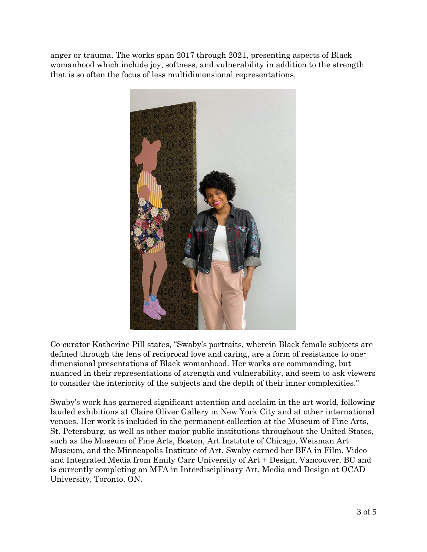anger or trauma. The works span 2017 through 2021, presenting aspects of Black womanhood which include joy, softness, and vulnerability in addition to the strength that is so often the focus of less multidimensional representations.



Co-curator Katherine Pill states, "Swaby's portraits, wherein Black female subjects are defined through the lens of reciprocal love and caring, are a form of resistance to onedimensional presentations of Black womanhood. Her works are commanding, but nuanced in their representations of strength and vulnerability, and seem to ask viewers to consider the interiority of the subjects and the depth of their inner complexities."

Swaby's work has garnered significant attention and acclaim in the art world, following lauded exhibitions at Claire Oliver Gallery in New York City and at other international venues. Her work is included in the permanent collection at the Museum of Fine Arts, St. Petersburg, as well as other major public institutions throughout the United States, such as the Museum of Fine Arts, Boston, Art Institute of Chicago, Weisman Art Museum, and the Minneapolis Institute of Art. Swaby earned her BFA in Film, Video and Integrated Media from Emily Carr University of Art + Design, Vancouver, BC and is currently completing an MFA in Interdisciplinary Art, Media and Design at OCAD University, Toronto, ON.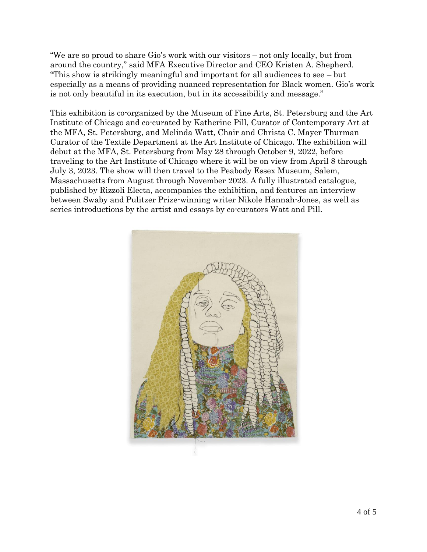"We are so proud to share Gio's work with our visitors – not only locally, but from around the country," said MFA Executive Director and CEO Kristen A. Shepherd. "This show is strikingly meaningful and important for all audiences to see – but especially as a means of providing nuanced representation for Black women. Gio's work is not only beautiful in its execution, but in its accessibility and message."

This exhibition is co-organized by the Museum of Fine Arts, St. Petersburg and the Art Institute of Chicago and co-curated by Katherine Pill, Curator of Contemporary Art at the MFA, St. Petersburg, and Melinda Watt, Chair and Christa C. Mayer Thurman Curator of the Textile Department at the Art Institute of Chicago. The exhibition will debut at the MFA, St. Petersburg from May 28 through October 9, 2022, before traveling to the Art Institute of Chicago where it will be on view from April 8 through July 3, 2023. The show will then travel to the Peabody Essex Museum, Salem, Massachusetts from August through November 2023. A fully illustrated catalogue, published by Rizzoli Electa, accompanies the exhibition, and features an interview between Swaby and Pulitzer Prize-winning writer Nikole Hannah-Jones, as well as series introductions by the artist and essays by co-curators Watt and Pill.